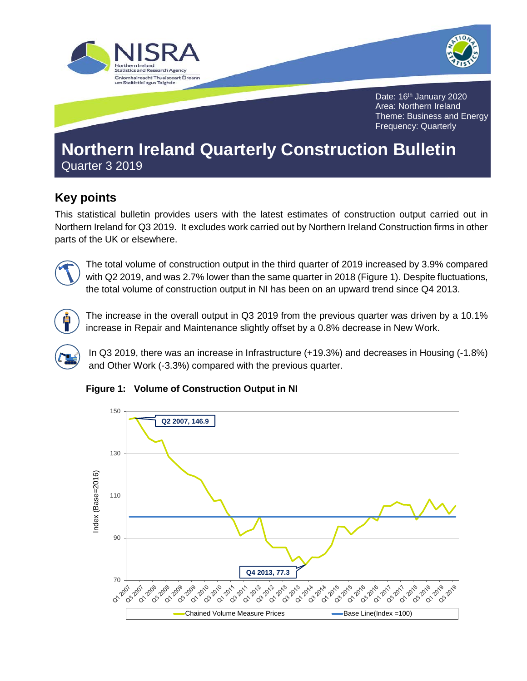



Date: 16<sup>th</sup> January 2020 Area: Northern Ireland Theme: Business and Energy Frequency: Quarterly

# **Northern Ireland Quarterly Construction Bulletin**  Quarter 3 2019

# **Key points**

This statistical bulletin provides users with the latest estimates of construction output carried out in Northern Ireland for Q3 2019. It excludes work carried out by Northern Ireland Construction firms in other parts of the UK or elsewhere.



The total volume of construction output in the third quarter of 2019 increased by 3.9% compared with Q2 2019, and was 2.7% lower than the same quarter in 2018 (Figure 1). Despite fluctuations, the total volume of construction output in NI has been on an upward trend since Q4 2013.



The increase in the overall output in Q3 2019 from the previous quarter was driven by a 10.1% increase in Repair and Maintenance slightly offset by a 0.8% decrease in New Work.

In Q3 2019, there was an increase in Infrastructure (+19.3%) and decreases in Housing (-1.8%) and Other Work (-3.3%) compared with the previous quarter.



**Figure 1: Volume of Construction Output in NI**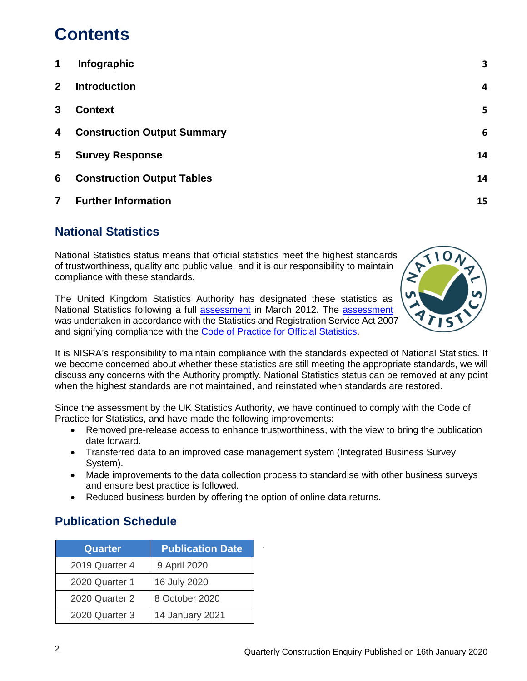# **Contents**

| 1              | Infographic                        | 3  |
|----------------|------------------------------------|----|
| 2 <sup>2</sup> | <b>Introduction</b>                | 4  |
| 3              | <b>Context</b>                     | 5  |
| 4              | <b>Construction Output Summary</b> | 6  |
| 5              | <b>Survey Response</b>             | 14 |
| 6              | <b>Construction Output Tables</b>  | 14 |
| $\overline{7}$ | <b>Further Information</b>         | 15 |

# **National Statistics**

National Statistics status means that official statistics meet the highest standards of trustworthiness, quality and public value, and it is our responsibility to maintain compliance with these standards.

The United Kingdom Statistics Authority has designated these statistics as National Statistics following a full [assessment](https://www.statisticsauthority.gov.uk/publication/statistics-on-output-in-the-construction-industry-in-northern-ireland/) in March 2012. The [assessment](https://www.statisticsauthority.gov.uk/publication/statistics-on-output-in-the-construction-industry-in-northern-ireland/) was undertaken in accordance with the Statistics and Registration Service Act 2007 and signifying compliance with the [Code of Practice for Official Statistics.](https://www.statisticsauthority.gov.uk/code-of-practice/the-code/)



It is NISRA's responsibility to maintain compliance with the standards expected of National Statistics. If we become concerned about whether these statistics are still meeting the appropriate standards, we will discuss any concerns with the Authority promptly. National Statistics status can be removed at any point when the highest standards are not maintained, and reinstated when standards are restored.

Since the assessment by the UK Statistics Authority, we have continued to comply with the Code of Practice for Statistics, and have made the following improvements:

- Removed pre-release access to enhance trustworthiness, with the view to bring the publication date forward.
- Transferred data to an improved case management system (Integrated Business Survey System).
- Made improvements to the data collection process to standardise with other business surveys and ensure best practice is followed.
- Reduced business burden by offering the option of online data returns.

# **Publication Schedule**

| <b>Quarter</b> | <b>Publication Date</b> |
|----------------|-------------------------|
| 2019 Quarter 4 | 9 April 2020            |
| 2020 Quarter 1 | 16 July 2020            |
| 2020 Quarter 2 | 8 October 2020          |
| 2020 Quarter 3 | 14 January 2021         |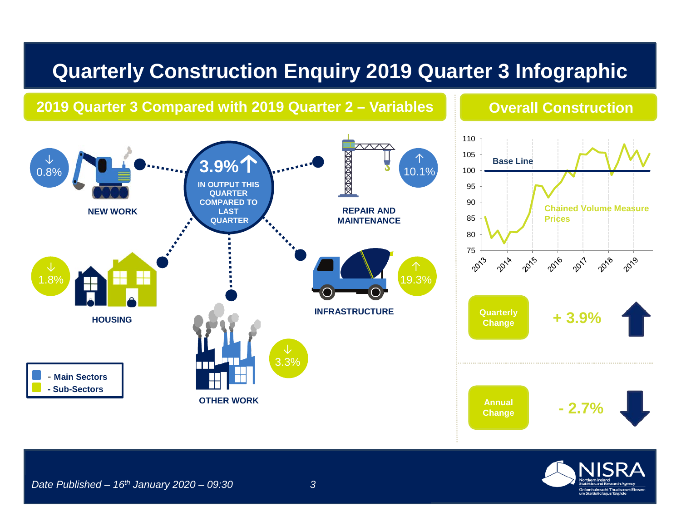# **Quarterly Construction Enquiry 2019 Quarter 3 Infographic**

# **2019 Quarter 3 Compared with 2019 Quarter 2 – Variables <b>Converts Construction**

### $\pi\pi\tau$ ↓ ↑ **3.9%**  $10.1%$ 0.8% **IN OUTPUT THIS QUARTER COMPARED TO NEW WORK LAST LAST REPAIR AND LAST QUARTER MAINTENANCE** 1.8% 19.3% **HOUSING INFRASTRUCTURE**  3.3% - **Main Sectors - Sub-Sectors OTHER WORK**



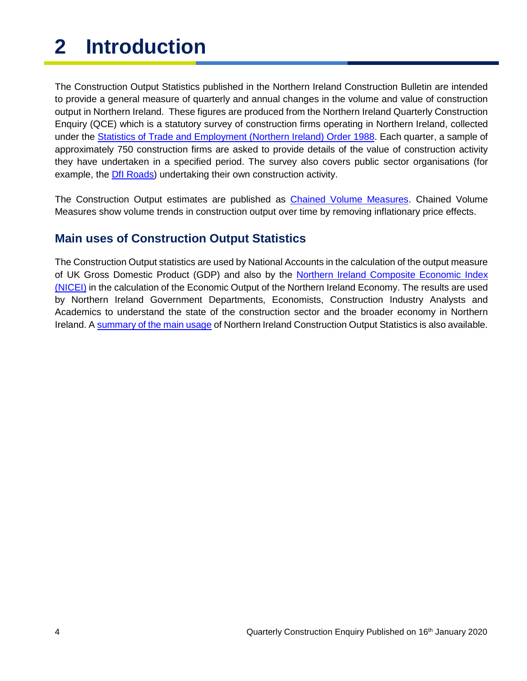# <span id="page-3-0"></span>**2 Introduction**

The Construction Output Statistics published in the Northern Ireland Construction Bulletin are intended to provide a general measure of quarterly and annual changes in the volume and value of construction output in Northern Ireland. These figures are produced from the Northern Ireland Quarterly Construction Enquiry (QCE) which is a statutory survey of construction firms operating in Northern Ireland, collected under the **Statistics of Trade and Employment (Northern Ireland) Order 1988**. Each quarter, a sample of approximately 750 construction firms are asked to provide details of the value of construction activity they have undertaken in a specified period. The survey also covers public sector organisations (for example, the [DfI Roads\)](https://www.infrastructure-ni.gov.uk/transportni-overview-0) undertaking their own construction activity.

The Construction Output estimates are published as [Chained Volume Measures.](http://www.ons.gov.uk/ons/rel/elmr/economic-trends--discontinued-/no--630--may-2006/methodological-note--annual-chain-linking.pdf) Chained Volume Measures show volume trends in construction output over time by removing inflationary price effects.

### **Main uses of Construction Output Statistics**

The Construction Output statistics are used by National Accounts in the calculation of the output measure of UK Gross Domestic Product (GDP) and also by the [Northern Ireland Composite Economic Index](https://www.nisra.gov.uk/statistics/economic-output-statistics/ni-composite-economic-index)  [\(NICEI\)](https://www.nisra.gov.uk/statistics/economic-output-statistics/ni-composite-economic-index) in the calculation of the Economic Output of the Northern Ireland Economy. The results are used by Northern Ireland Government Departments, Economists, Construction Industry Analysts and Academics to understand the state of the construction sector and the broader economy in Northern Ireland. [A summary of the main usage](https://www.nisra.gov.uk/publications/construction-output-statistics-feedback) of Northern Ireland Construction Output Statistics is also available.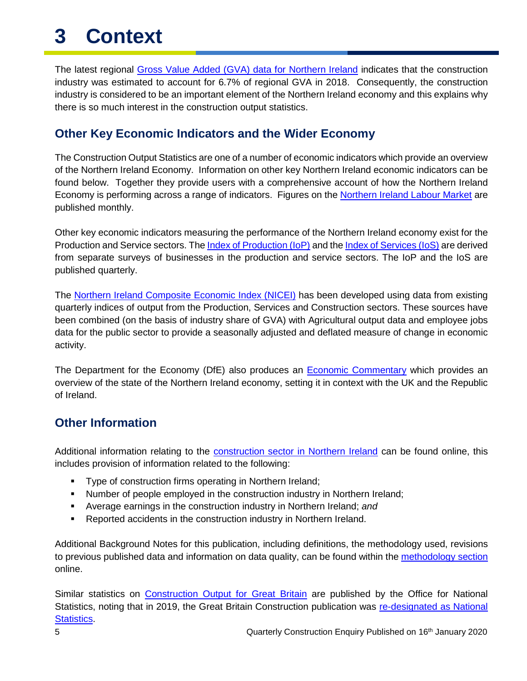# <span id="page-4-0"></span>**3 Context**

The latest regional [Gross Value Added \(GVA\) data for Northern Ireland](http://www.ons.gov.uk/economy/grossvalueaddedgva) indicates that the construction industry was estimated to account for 6.7% of regional GVA in 2018. Consequently, the construction industry is considered to be an important element of the Northern Ireland economy and this explains why there is so much interest in the construction output statistics.

### **Other Key Economic Indicators and the Wider Economy**

The Construction Output Statistics are one of a number of economic indicators which provide an overview of the Northern Ireland Economy. Information on other key Northern Ireland economic indicators can be found below. Together they provide users with a comprehensive account of how the Northern Ireland Economy is performing across a range of indicators. Figures on the [Northern Ireland Labour Market](https://www.nisra.gov.uk/statistics/nisra-economic-and-labour-market-statistics-elms/economic-overview) are published monthly.

Other key economic indicators measuring the performance of the Northern Ireland economy exist for the Production and Service sectors. The *Index of Production* (IoP) and the *Index of Services* (IoS) are derived from separate surveys of businesses in the production and service sectors. The IoP and the IoS are published quarterly.

The [Northern Ireland Composite Economic Index \(NICEI\)](https://www.nisra.gov.uk/statistics/economic-output-statistics/ni-composite-economic-index) has been developed using data from existing quarterly indices of output from the Production, Services and Construction sectors. These sources have been combined (on the basis of industry share of GVA) with Agricultural output data and employee jobs data for the public sector to provide a seasonally adjusted and deflated measure of change in economic activity.

The Department for the Economy (DfE) also produces an [Economic Commentary](https://www.economy-ni.gov.uk/publications/dfe-economic-commentary) which provides an overview of the state of the Northern Ireland economy, setting it in context with the UK and the Republic of Ireland.

### **Other Information**

Additional information relating to the [construction sector in Northern Ireland](https://www.nisra.gov.uk/statistics/economic-output-statistics/construction-output-statisticshttps:/www.nisra.gov.uk/statistics/economic-output-statistics/construction-output-statistics) can be found online, this includes provision of information related to the following:

- **Type of construction firms operating in Northern Ireland;**
- Number of people employed in the construction industry in Northern Ireland;
- Average earnings in the construction industry in Northern Ireland; *and*
- **-** Reported accidents in the construction industry in Northern Ireland.

Additional Background Notes for this publication, including definitions, the methodology used, revisions to previous published data and information on data quality, can be found within the [methodology section](https://www.nisra.gov.uk/publications/construction-output-statistics-methodology) online.

Similar statistics on [Construction Output for Great Britain](http://www.ons.gov.uk/atoz?query=output+in+the+construction+industry) are published by the Office for National Statistics, noting that in 2019, the Great Britain Construction publication was [re-designated as National](https://www.statisticsauthority.gov.uk/correspondence/national-statistics-confirmation-ons-construction-statistics/#_ftn2)  [Statistics.](https://www.statisticsauthority.gov.uk/correspondence/national-statistics-confirmation-ons-construction-statistics/#_ftn2)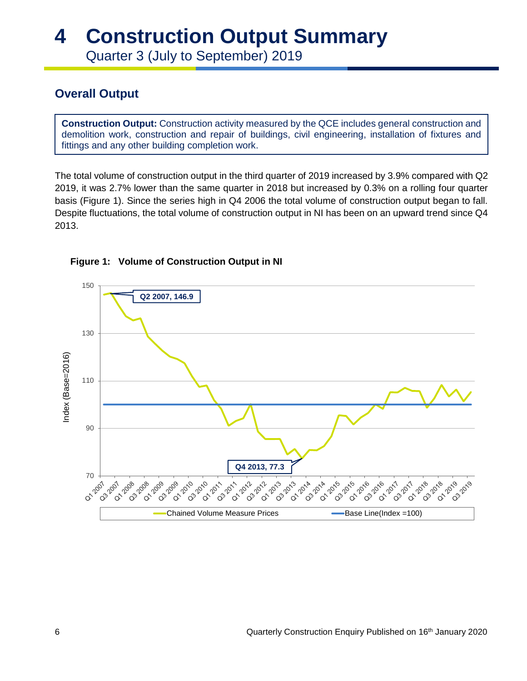# <span id="page-5-0"></span>**4 Construction Output Summary**

Quarter 3 (July to September) 2019

# **Overall Output**

**Construction Output:** Construction activity measured by the QCE includes general construction and demolition work, construction and repair of buildings, civil engineering, installation of fixtures and fittings and any other building completion work.

The total volume of construction output in the third quarter of 2019 increased by 3.9% compared with Q2 2019, it was 2.7% lower than the same quarter in 2018 but increased by 0.3% on a rolling four quarter basis (Figure 1). Since the series high in Q4 2006 the total volume of construction output began to fall. Despite fluctuations, the total volume of construction output in NI has been on an upward trend since Q4 2013.



#### **Figure 1: Volume of Construction Output in NI**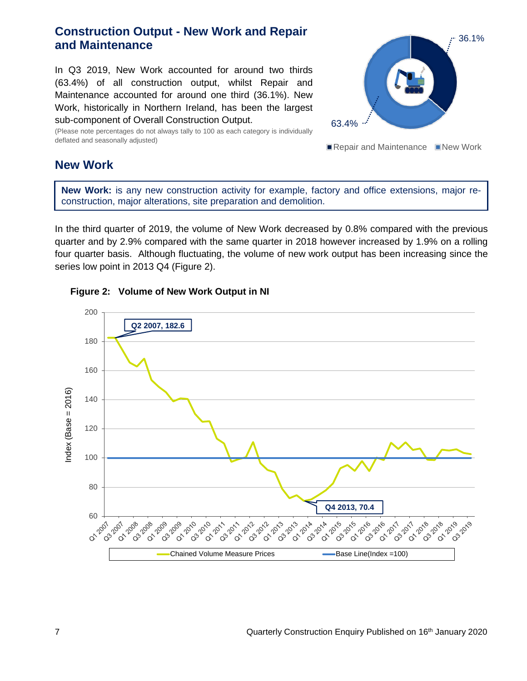### **Construction Output - New Work and Repair and Maintenance**

In Q3 2019, New Work accounted for around two thirds (63.4%) of all construction output, whilst Repair and Maintenance accounted for around one third (36.1%). New Work, historically in Northern Ireland, has been the largest sub-component of Overall Construction Output.

(Please note percentages do not always tally to 100 as each category is individually deflated and seasonally adjusted)



Repair and Maintenance New Work

#### **New Work**

**New Work:** is any new construction activity for example, factory and office extensions, major reconstruction, major alterations, site preparation and demolition.

In the third quarter of 2019, the volume of New Work decreased by 0.8% compared with the previous quarter and by 2.9% compared with the same quarter in 2018 however increased by 1.9% on a rolling four quarter basis. Although fluctuating, the volume of new work output has been increasing since the series low point in 2013 Q4 (Figure 2).



#### **Figure 2: Volume of New Work Output in NI**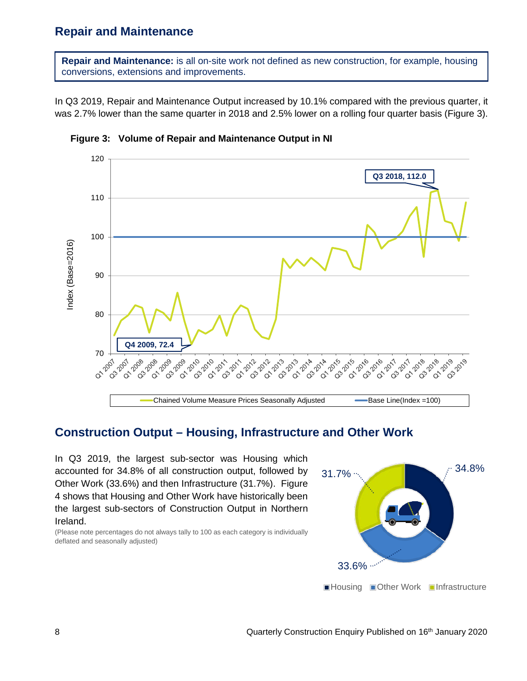#### **Repair and Maintenance**

**Repair and Maintenance:** is all on-site work not defined as new construction, for example, housing conversions, extensions and improvements.

In Q3 2019, Repair and Maintenance Output increased by 10.1% compared with the previous quarter, it was 2.7% lower than the same quarter in 2018 and 2.5% lower on a rolling four quarter basis (Figure 3).



**Figure 3: Volume of Repair and Maintenance Output in NI**

#### **Construction Output – Housing, Infrastructure and Other Work**

In Q3 2019, the largest sub-sector was Housing which accounted for 34.8% of all construction output, followed by Other Work (33.6%) and then Infrastructure (31.7%). Figure 4 shows that Housing and Other Work have historically been the largest sub-sectors of Construction Output in Northern Ireland.

(Please note percentages do not always tally to 100 as each category is individually deflated and seasonally adjusted)

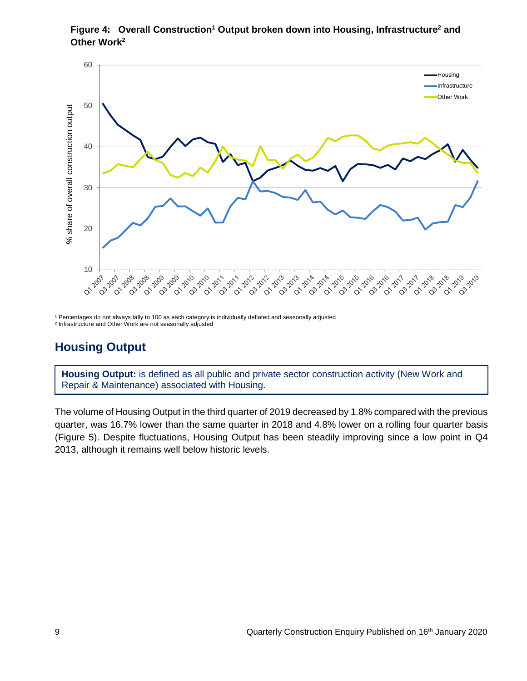



<sup>1</sup> Percentages do not always tally to 100 as each category is individually deflated and seasonally adjusted ² Infrastructure and Other Work are not seasonally adjusted

# **Housing Output**

**Housing Output:** is defined as all public and private sector construction activity (New Work and Repair & Maintenance) associated with Housing.

The volume of Housing Output in the third quarter of 2019 decreased by 1.8% compared with the previous quarter, was 16.7% lower than the same quarter in 2018 and 4.8% lower on a rolling four quarter basis (Figure 5). Despite fluctuations, Housing Output has been steadily improving since a low point in Q4 2013, although it remains well below historic levels.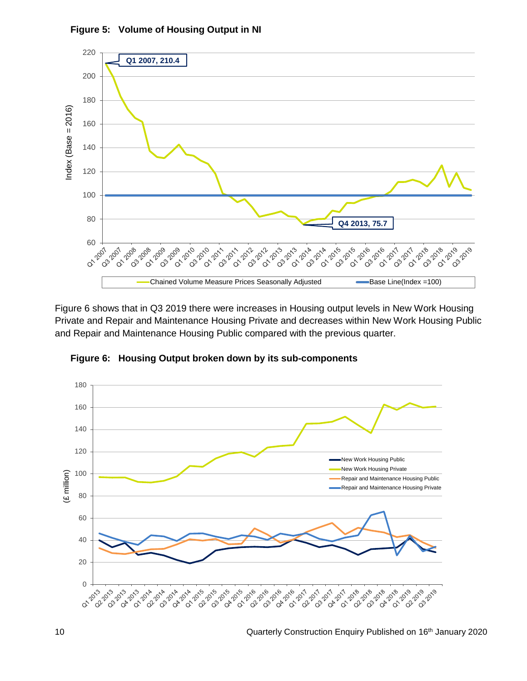

**Figure 5: Volume of Housing Output in NI**

Figure 6 shows that in Q3 2019 there were increases in Housing output levels in New Work Housing Private and Repair and Maintenance Housing Private and decreases within New Work Housing Public and Repair and Maintenance Housing Public compared with the previous quarter.



**Figure 6: Housing Output broken down by its sub-components**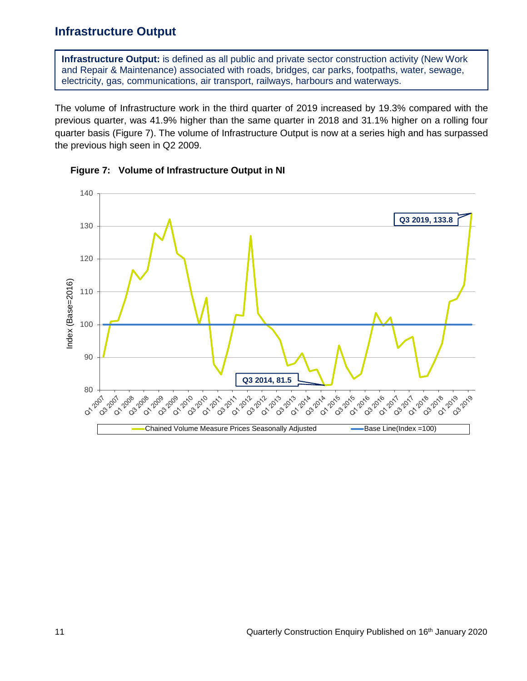### **Infrastructure Output**

**Infrastructure Output:** is defined as all public and private sector construction activity (New Work and Repair & Maintenance) associated with roads, bridges, car parks, footpaths, water, sewage, electricity, gas, communications, air transport, railways, harbours and waterways.

The volume of Infrastructure work in the third quarter of 2019 increased by 19.3% compared with the previous quarter, was 41.9% higher than the same quarter in 2018 and 31.1% higher on a rolling four quarter basis (Figure 7). The volume of Infrastructure Output is now at a series high and has surpassed the previous high seen in Q2 2009.



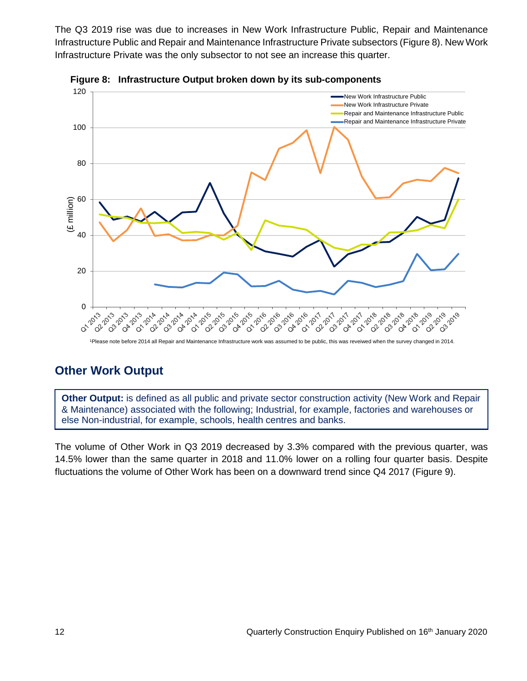The Q3 2019 rise was due to increases in New Work Infrastructure Public, Repair and Maintenance Infrastructure Public and Repair and Maintenance Infrastructure Private subsectors (Figure 8). New Work Infrastructure Private was the only subsector to not see an increase this quarter.





1Please note before 2014 all Repair and Maintenance Infrastructure work was assumed to be public, this was reveiwed when the survey changed in 2014.

# **Other Work Output**

**Other Output:** is defined as all public and private sector construction activity (New Work and Repair & Maintenance) associated with the following; Industrial, for example, factories and warehouses or else Non-industrial, for example, schools, health centres and banks.

The volume of Other Work in Q3 2019 decreased by 3.3% compared with the previous quarter, was 14.5% lower than the same quarter in 2018 and 11.0% lower on a rolling four quarter basis. Despite fluctuations the volume of Other Work has been on a downward trend since Q4 2017 (Figure 9).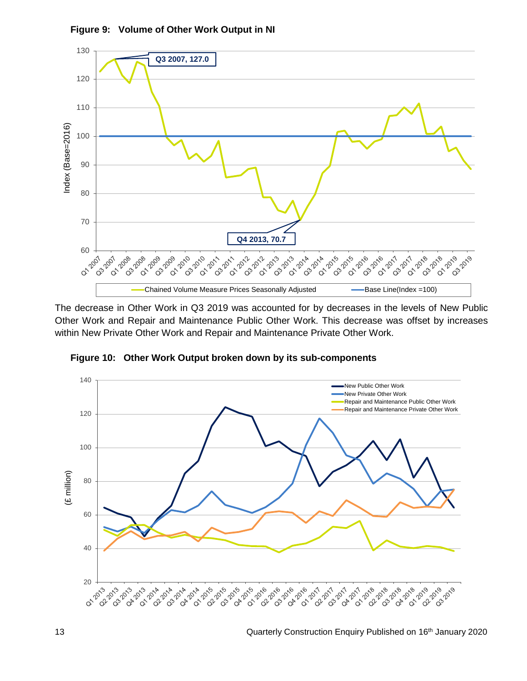

**Figure 9: Volume of Other Work Output in NI**

The decrease in Other Work in Q3 2019 was accounted for by decreases in the levels of New Public Other Work and Repair and Maintenance Public Other Work. This decrease was offset by increases within New Private Other Work and Repair and Maintenance Private Other Work.



**Figure 10: Other Work Output broken down by its sub-components**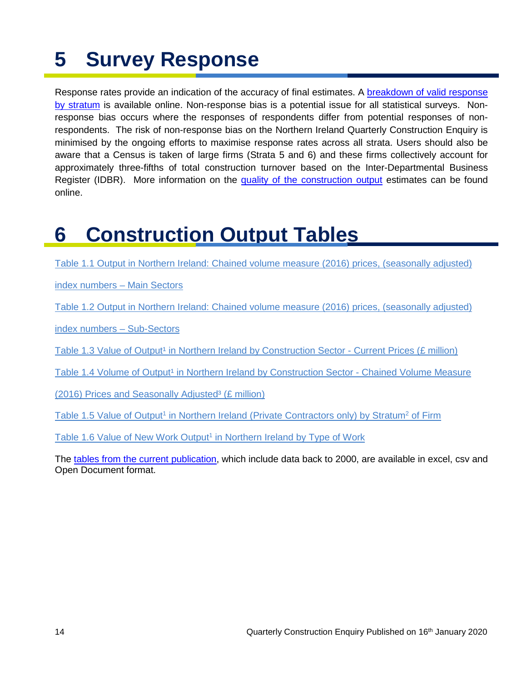# <span id="page-13-0"></span>**5 Survey Response**

Response rates provide an indication of the accuracy of final estimates. A [breakdown of valid response](https://www.nisra.gov.uk/publications/information-participants)  [by stratum](https://www.nisra.gov.uk/publications/information-participants) is available online. Non-response bias is a potential issue for all statistical surveys. Nonresponse bias occurs where the responses of respondents differ from potential responses of nonrespondents. The risk of non-response bias on the Northern Ireland Quarterly Construction Enquiry is minimised by the ongoing efforts to maximise response rates across all strata. Users should also be aware that a Census is taken of large firms (Strata 5 and 6) and these firms collectively account for approximately three-fifths of total construction turnover based on the Inter-Departmental Business Register (IDBR). More information on the [quality of the construction output](https://www.nisra.gov.uk/publications/construction-output-statistics-methodology) estimates can be found online.

# <span id="page-13-1"></span>**6 Construction Output Tables**

[Table 1.1 Output in Northern Ireland: Chained volume measure \(2016\) prices, \(seasonally adjusted\)](https://www.nisra.gov.uk/publications/construction-output-statistics-q3-2019) 

[index numbers –](https://www.nisra.gov.uk/publications/construction-output-statistics-q3-2019) Main Sectors

[Table 1.2 Output in Northern Ireland: Chained volume measure \(2016\) prices, \(seasonally adjusted\)](https://www.nisra.gov.uk/publications/construction-output-statistics-q3-2019) 

[index numbers –](https://www.nisra.gov.uk/publications/construction-output-statistics-q3-2019) Sub-Sectors

Table 1.3 Value of Output<sup>1</sup> in Northern Ireland by Construction Sector - Current Prices (£ million)

Table 1.4 Volume of Output<sup>1</sup> in Northern Ireland by Construction Sector - Chained Volume Measure

(2016) Prices and Seasonally Adjusted<sup>3</sup> ( $£$  million)

Table 1.5 Value of Output<sup>1</sup> in Northern Ireland (Private Contractors only) by Stratum<sup>2</sup> of Firm

Table 1.6 Value of New Work Output<sup>1</sup> in Northern Ireland by Type of Work

The [tables from the current publication,](https://www.nisra.gov.uk/statistics/economic-output-statistics/construction-output-statistics#toc-0) which include data back to 2000, are available in excel, csv and Open Document format.